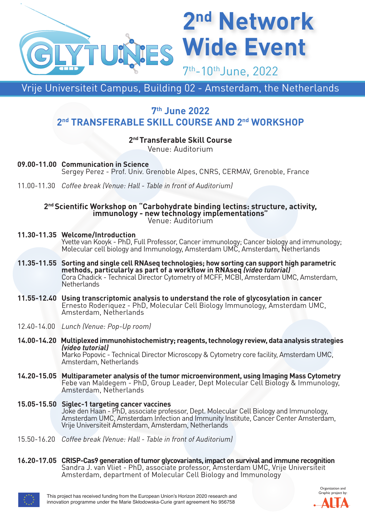

### **7th June 2022 2nd TRANSFERABLE SKILL COURSE AND 2nd WORKSHOP**

#### **2ndTransferable Skill Course**

Venue: Auditorium

- **09.00-11.00 Communication in Science** Sergey Perez - Prof. Univ. Grenoble Alpes, CNRS, CERMAV, Grenoble, France
- 11.00-11.30 *Coffee break (Venue: Hall - Table in front of Auditorium)*

# 2<sup>nd</sup> Scientific Workshop on "Carbohydrate binding lectins: structure, activity,<br>immunology - new technology implementations"<br>Venue: Auditorium

- **11.30-11.35 Welcome/Introduction** Yvette van Kooyk - PhD, Full Professor, Cancer immunology; Cancer biology and immunology; Molecular cell biology and Immunology, Amsterdam UMC, Amsterdam, Netherlands
- **11.35-11.55 Sorting and single cell RNAseq technologies; how sorting can support high parametric methods, particularly as part of a workflow in RNAseq** *(video tutorial)* Cora Chadick - Technical Director Cytometry of MCFF, MCBI, Amsterdam UMC, Amsterdam, Netherlands
- **11.55-12.40 Using transcriptomic analysis to understand the role of glycosylation in cancer** Ernesto Roderiquez - PhD, Molecular Cell Biology Immunology, Amsterdam UMC, Amsterdam, Netherlands
- 12.40-14.00 *Lunch (Venue: Pop-Up room)*
- **14.00-14.20 Multiplexed immunohistochemistry; reagents,technology review, data analysis strategies** *(video tutorial)* Marko Popovic - Technical Director Microscopy & Cytometry core facility, Amsterdam UMC, Amsterdam, Netherlands
- **14.20-15.05 Multiparameter analysis of the tumor microenvironment, using Imaging Mass Cytometry** Febe van Maldegem - PhD, Group Leader, Dept Molecular Cell Biology & Immunology,<br>Amsterdam, Netherlands
- **15.05-15.50 Siglec-1 targeting cancer vaccines** Amsterdam UMC, Amsterdam Infection and Immunity Institute, Cancer Center Amsterdam, Vrije Universiteit Amsterdam, Amsterdam, Netherlands
- 15.50-16.20 *Coffee break (Venue: Hall - Table in front of Auditorium)*
- **16.20-17.05 CRISP-Cas9 generationoftumor glycovariants, impact onsurvival and immune recognition** Sandra J. van Vliet - PhD, associate professor, Amsterdam UMC, Vrije Universiteit Amsterdam, department of Molecular Cell Biology and Immunology



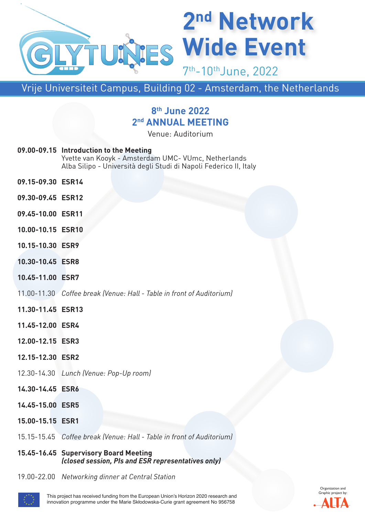

# **8th June 2022 2nd ANNUAL MEETING**

Venue: Auditorium

- **09.00-09.15 Introduction to the Meeting** Yvette van Kooyk - Amsterdam UMC- VUmc, Netherlands Alba Silipo - Università degli Studi di Napoli Federico II, Italy
- **09.15-09.30 ESR14**
- **09.30-09.45 ESR12**
- **09.45-10.00 ESR11**
- **10.00-10.15 ESR10**
- **10.15-10.30 ESR9**
- **10.30-10.45 ESR8**
- **10.45-11.00 ESR7**
- 11.00-11.30 *Coffee break (Venue: Hall - Table in front of Auditorium)*
- **11.30-11.45 ESR13**
- **11.45-12.00 ESR4**
- **12.00-12.15 ESR3**
- **12.15-12.30 ESR2**
- 12.30-14.30 *Lunch (Venue: Pop-Up room)*
- **14.30-14.45 ESR6**
- **14.45-15.00 ESR5**
- **15.00-15.15 ESR1**
- 15.15-15.45 *Coffee break (Venue: Hall - Table in front of Auditorium)*

#### **15.45-16.45 Supervisory Board Meeting** *(closed session, PIs and ESR representatives only)*

19.00-22.00 *Networking dinner at Central Station*



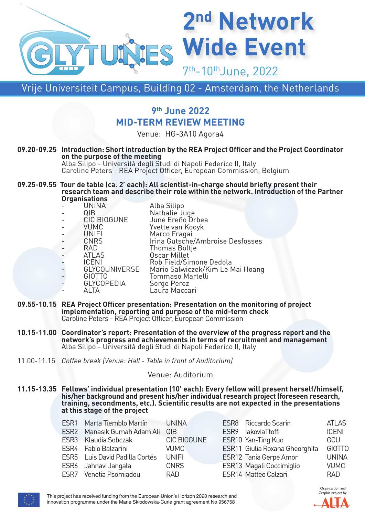

## **9th June 2022 MID-TERM REVIEW MEETING**

Venue: HG-3A10 Agora4

#### **09.20-09.25 Introduction: Short introduction by the REA Project Officer and the Project Coordinator on the purpose of the meeting** Alba Silipo - Università degli Studi di Napoli Federico II, Italy

Caroline Peters - REA Project Officer, European Commission, Belgium

### **09.25-09.55 Tour de table (ca. 2' each): All scientist-in-charge should briefly present their research team and describe their role within the network. Introduction of the Partner**

| <b>Organisations</b><br>- UNINA |                    |                                  |  |  |  |  |
|---------------------------------|--------------------|----------------------------------|--|--|--|--|
|                                 |                    | Alba Silipo                      |  |  |  |  |
| $\overline{\phantom{0}}$        | QIB                | Nathalie Juge                    |  |  |  |  |
| $\overline{\phantom{0}}$        | <b>CIC BIOGUNE</b> | June Ereño Orbea                 |  |  |  |  |
| $\overline{\phantom{0}}$        | <b>VUMC</b>        | Yvette van Kooyk                 |  |  |  |  |
| $\overline{a}$                  | <b>UNIFI</b>       | Marco Fragai                     |  |  |  |  |
|                                 | <b>CNRS</b>        | Irina Gutsche/Ambroise Desfosses |  |  |  |  |
| $\overline{\phantom{a}}$        | RAD                | <b>Thomas Boltje</b>             |  |  |  |  |
|                                 | <b>ATLAS</b>       | <b>Oscar Millet</b>              |  |  |  |  |
| H                               | <b>ICENI</b>       | Rob Field/Simone Dedola          |  |  |  |  |
| $\overline{\phantom{0}}$        | GLYCOUNIVERSE      | Mario Salwiczek/Kim Le Mai Hoang |  |  |  |  |
| -                               | <b>GIOTTO</b>      | Tommaso Martelli                 |  |  |  |  |
|                                 | <b>GLYCOPEDIA</b>  | Serge Perez                      |  |  |  |  |
|                                 | <b>ALTA</b>        | Laura Maccari                    |  |  |  |  |

- **09.55-10.15 REA Project Officer presentation: Presentation on the monitoring of project implementation, reporting and purpose of the mid-term check** Caroline Peters - REA Project Officer, European Commission
- **10.15-11.00 Coordinator's report: Presentation of the overview of the progress report and the network's progress and achievements in terms of recruitment and management** Alba Silipo - Università degli Studi di Napoli Federico II, Italy
- 11.00-11.15 *Coffee break (Venue: Hall - Table in front of Auditorium)*

#### Venue: Auditorium

11.15-13.35 Fellows' individual presentation (10' each): Every fellow will present herself/himself,<br>his/her background and present his/her individual research project (foreseen research,<br>training, secondments, etc.). Scien **at this stage of the project**

| ESR1 Marta Tiemblo Martín      | <b>UNINA</b>       | ESR8 Riccardo Scarin           | <b>ATLAS</b>  |
|--------------------------------|--------------------|--------------------------------|---------------|
| ESR2 Manasik Gumah Adam Ali    | <b>QIB</b>         | ESR9 lakoviaTtoffi             | <b>ICENI</b>  |
| ESR3 Klaudia Sobczak           | <b>CIC BIOGUNE</b> | ESR10 Yan-Ting Kuo             | <b>GCU</b>    |
| ESR4 Fabio Balzarini           | <b>VUMC</b>        | ESR11 Giulia Roxana Gheorghita | <b>GIOTTO</b> |
| ESR5 Luis David Padilla Cortés | <b>UNIFI</b>       | ESR12 Tania Gerpe Amor         | <b>UNINA</b>  |
| ESR6 Jahnavi Jangala           | <b>CNRS</b>        | ESR13 Magali Coccimiglio       | <b>VUMC</b>   |
| ESR7 Venetia Psomiadou         | <b>RAD</b>         | ESR14 Matteo Calzari           | <b>RAD</b>    |
|                                |                    |                                |               |



This project has received funding from the European Union's Horizon 2020 research and innovation programme under the Marie Skłodowska-Curie grant agreement No 956758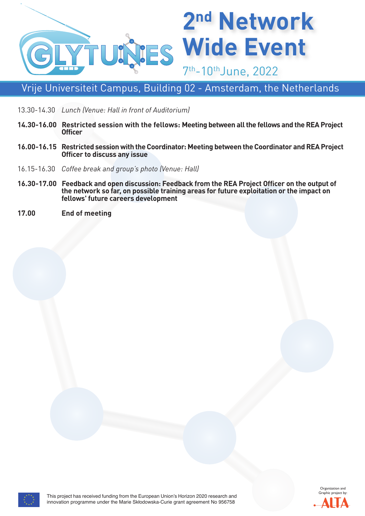

- 13.30-14.30 *Lunch (Venue: Hall in front of Auditorium)*
- **14.30-16.00 Restricted session with the fellows: Meeting between allthe fellows and theREA Project Officer**
- **16.00-16.15 Restricted sessionwith theCoordinator: Meeting between theCoordinator andREAProject Officer to discuss any issue**
- 16.15-16.30 *Coffee break and group's photo (Venue: Hall)*
- **16.30-17.00 Feedback and open discussion: Feedback from the REA Project Officer on the output of the network so far, on possible training areas for future exploitation or the impact on fellows' future careers development**
- **17.00 End of meeting**